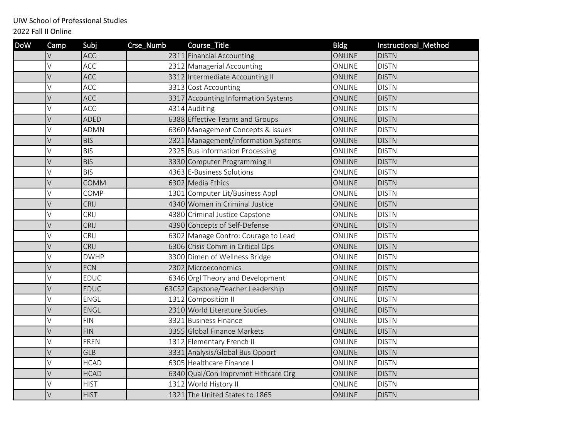UIW School of Professional Studies

2022 Fall II Online

| <b>DoW</b> | Camp | Subj        | Crse_Numb | Course_Title                        | <b>Bldg</b>   | Instructional_Method |
|------------|------|-------------|-----------|-------------------------------------|---------------|----------------------|
|            | V    | <b>ACC</b>  |           | 2311 Financial Accounting           | ONLINE        | <b>DISTN</b>         |
|            | V    | ACC         |           | 2312 Managerial Accounting          | ONLINE        | <b>DISTN</b>         |
|            | V    | ACC         |           | 3312 Intermediate Accounting II     | ONLINE        | <b>DISTN</b>         |
|            | V    | ACC         |           | 3313 Cost Accounting                | ONLINE        | <b>DISTN</b>         |
|            | V    | <b>ACC</b>  |           | 3317 Accounting Information Systems | ONLINE        | <b>DISTN</b>         |
|            | V    | <b>ACC</b>  |           | 4314 Auditing                       | ONLINE        | <b>DISTN</b>         |
|            | V    | ADED        |           | 6388 Effective Teams and Groups     | <b>ONLINE</b> | <b>DISTN</b>         |
|            | V    | <b>ADMN</b> |           | 6360 Management Concepts & Issues   | ONLINE        | <b>DISTN</b>         |
|            | V    | <b>BIS</b>  |           | 2321 Management/Information Systems | <b>ONLINE</b> | <b>DISTN</b>         |
|            | V    | <b>BIS</b>  |           | 2325 Bus Information Processing     | ONLINE        | <b>DISTN</b>         |
|            | V    | <b>BIS</b>  |           | 3330 Computer Programming II        | ONLINE        | <b>DISTN</b>         |
|            | V    | <b>BIS</b>  |           | 4363 E-Business Solutions           | ONLINE        | <b>DISTN</b>         |
|            | V    | <b>COMM</b> |           | 6302 Media Ethics                   | <b>ONLINE</b> | <b>DISTN</b>         |
|            | V    | COMP        |           | 1301 Computer Lit/Business Appl     | ONLINE        | <b>DISTN</b>         |
|            | V    | CRIJ        |           | 4340 Women in Criminal Justice      | <b>ONLINE</b> | <b>DISTN</b>         |
|            | V    | CRIJ        |           | 4380 Criminal Justice Capstone      | ONLINE        | <b>DISTN</b>         |
|            | V    | CRIJ        |           | 4390 Concepts of Self-Defense       | <b>ONLINE</b> | <b>DISTN</b>         |
|            | V    | CRIJ        |           | 6302 Manage Contro: Courage to Lead | ONLINE        | <b>DISTN</b>         |
|            | V    | CRIJ        |           | 6306 Crisis Comm in Critical Ops    | <b>ONLINE</b> | <b>DISTN</b>         |
|            | V    | <b>DWHP</b> |           | 3300 Dimen of Wellness Bridge       | ONLINE        | <b>DISTN</b>         |
|            | V    | <b>ECN</b>  |           | 2302 Microeconomics                 | <b>ONLINE</b> | <b>DISTN</b>         |
|            | V    | <b>EDUC</b> |           | 6346 Orgl Theory and Development    | ONLINE        | <b>DISTN</b>         |
|            | V    | EDUC        |           | 63CS2 Capstone/Teacher Leadership   | ONLINE        | <b>DISTN</b>         |
|            | V    | ENGL        |           | 1312 Composition II                 | ONLINE        | <b>DISTN</b>         |
|            | V    | <b>ENGL</b> |           | 2310 World Literature Studies       | <b>ONLINE</b> | <b>DISTN</b>         |
|            | V    | <b>FIN</b>  |           | 3321 Business Finance               | ONLINE        | <b>DISTN</b>         |
|            | V    | <b>FIN</b>  |           | 3355 Global Finance Markets         | <b>ONLINE</b> | <b>DISTN</b>         |
|            | V    | FREN        |           | 1312 Elementary French II           | ONLINE        | <b>DISTN</b>         |
|            | V    | GLB         |           | 3331 Analysis/Global Bus Opport     | <b>ONLINE</b> | <b>DISTN</b>         |
|            | V    | <b>HCAD</b> |           | 6305 Healthcare Finance I           | ONLINE        | <b>DISTN</b>         |
|            | V    | <b>HCAD</b> |           | 6340 Qual/Con Imprvmnt Hithcare Org | <b>ONLINE</b> | <b>DISTN</b>         |
|            | V    | <b>HIST</b> |           | 1312 World History II               | ONLINE        | <b>DISTN</b>         |
|            | V    | <b>HIST</b> |           | 1321 The United States to 1865      | ONLINE        | <b>DISTN</b>         |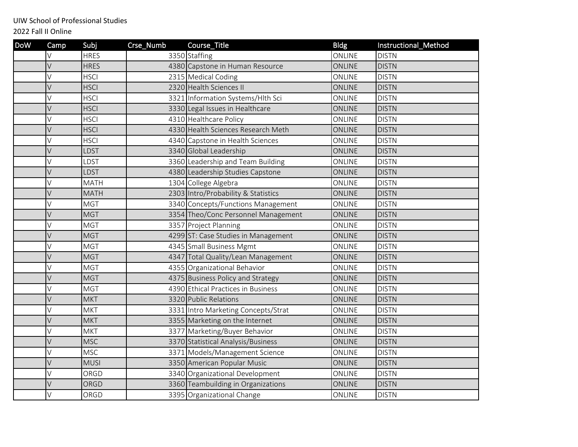UIW School of Professional Studies

2022 Fall II Online

| <b>DoW</b> | Camp | Subj        | Crse_Numb | Course_Title                        | <b>Bldg</b>   | Instructional_Method |
|------------|------|-------------|-----------|-------------------------------------|---------------|----------------------|
|            | V    | <b>HRES</b> |           | 3350 Staffing                       | ONLINE        | <b>DISTN</b>         |
|            | V    | <b>HRES</b> |           | 4380 Capstone in Human Resource     | ONLINE        | <b>DISTN</b>         |
|            | V    | <b>HSCI</b> |           | 2315 Medical Coding                 | ONLINE        | <b>DISTN</b>         |
|            | V    | <b>HSCI</b> |           | 2320 Health Sciences II             | ONLINE        | <b>DISTN</b>         |
|            | V    | <b>HSCI</b> |           | 3321 Information Systems/Hlth Sci   | ONLINE        | <b>DISTN</b>         |
|            | V    | <b>HSCI</b> |           | 3330 Legal Issues in Healthcare     | ONLINE        | <b>DISTN</b>         |
|            | V    | <b>HSCI</b> |           | 4310 Healthcare Policy              | ONLINE        | <b>DISTN</b>         |
|            | V    | <b>HSCI</b> |           | 4330 Health Sciences Research Meth  | <b>ONLINE</b> | <b>DISTN</b>         |
|            | V    | <b>HSCI</b> |           | 4340 Capstone in Health Sciences    | ONLINE        | <b>DISTN</b>         |
|            | V    | LDST        |           | 3340 Global Leadership              | ONLINE        | <b>DISTN</b>         |
|            | V    | LDST        |           | 3360 Leadership and Team Building   | ONLINE        | <b>DISTN</b>         |
|            | V    | <b>LDST</b> |           | 4380 Leadership Studies Capstone    | ONLINE        | <b>DISTN</b>         |
|            | V    | <b>MATH</b> |           | 1304 College Algebra                | ONLINE        | <b>DISTN</b>         |
|            | V    | <b>MATH</b> |           | 2303 Intro/Probability & Statistics | ONLINE        | <b>DISTN</b>         |
|            | V    | <b>MGT</b>  |           | 3340 Concepts/Functions Management  | ONLINE        | <b>DISTN</b>         |
|            | V    | <b>MGT</b>  |           | 3354 Theo/Conc Personnel Management | ONLINE        | <b>DISTN</b>         |
|            | V    | <b>MGT</b>  |           | 3357 Project Planning               | ONLINE        | <b>DISTN</b>         |
|            | V    | <b>MGT</b>  |           | 4299 ST: Case Studies in Management | <b>ONLINE</b> | <b>DISTN</b>         |
|            | V    | <b>MGT</b>  |           | 4345 Small Business Mgmt            | ONLINE        | <b>DISTN</b>         |
|            | V    | <b>MGT</b>  |           | 4347 Total Quality/Lean Management  | ONLINE        | <b>DISTN</b>         |
|            | V    | <b>MGT</b>  |           | 4355 Organizational Behavior        | ONLINE        | <b>DISTN</b>         |
|            | V    | <b>MGT</b>  |           | 4375 Business Policy and Strategy   | ONLINE        | <b>DISTN</b>         |
|            | V    | <b>MGT</b>  |           | 4390 Ethical Practices in Business  | ONLINE        | <b>DISTN</b>         |
|            | V    | <b>MKT</b>  |           | 3320 Public Relations               | ONLINE        | <b>DISTN</b>         |
|            | V    | <b>MKT</b>  |           | 3331 Intro Marketing Concepts/Strat | ONLINE        | <b>DISTN</b>         |
|            | V    | <b>MKT</b>  |           | 3355 Marketing on the Internet      | ONLINE        | <b>DISTN</b>         |
|            | V    | <b>MKT</b>  |           | 3377 Marketing/Buyer Behavior       | ONLINE        | <b>DISTN</b>         |
|            | V    | <b>MSC</b>  |           | 3370 Statistical Analysis/Business  | ONLINE        | <b>DISTN</b>         |
|            | V    | <b>MSC</b>  |           | 3371 Models/Management Science      | ONLINE        | <b>DISTN</b>         |
|            | V    | <b>MUSI</b> |           | 3350 American Popular Music         | <b>ONLINE</b> | <b>DISTN</b>         |
|            | V    | ORGD        |           | 3340 Organizational Development     | ONLINE        | <b>DISTN</b>         |
|            | V    | ORGD        |           | 3360 Teambuilding in Organizations  | <b>ONLINE</b> | <b>DISTN</b>         |
|            | V    | ORGD        |           | 3395 Organizational Change          | ONLINE        | <b>DISTN</b>         |